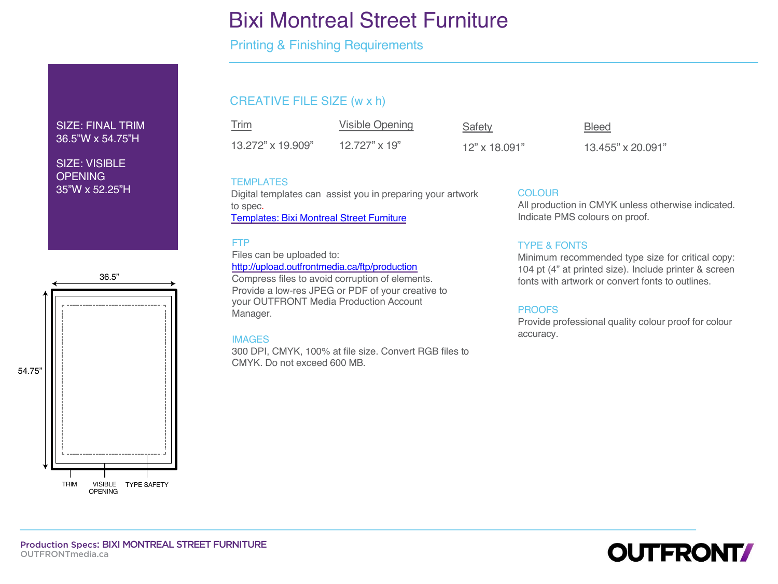# Bixi Montreal Street Furniture

Printing & Finishing Requirements

# CREATIVE FILE SIZE (w x h)

Trim Visible Opening 13.272" x 19.909" 12.727" x 19"

Safety **Bleed** 

12" x 18.091" 13.455" x 20.091"

# **TEMPLATES**

Digital templates can assist you in preparing your artwork to spec. Templates: Bixi Montreal Street Furniture

## FTP

Files can be uploaded to: http://upload.outfrontmedia.ca/ftp/production Compress files to avoid corruption of elements. Provide a low-res JPEG or PDF of your creative to your OUTFRONT Media Production Account Manager.

## IMAGES

300 DPI, CMYK, 100% at file size. Convert RGB files to CMYK. Do not exceed 600 MB.

# **COLOUR**

All production in CMYK unless oth Indicate PMS colours on proof.

# TYPE & FONTS

Minimum recommended type size 104 pt (4" at printed size). Include fonts with artwork or convert fonts

# PROOFS

Provide professional quality colou accuracy.



SIZE: FINAL TRIM 36.5"W x 54.75"H

SIZE: VISIBLE **OPENING** 35"W x 52.25"H